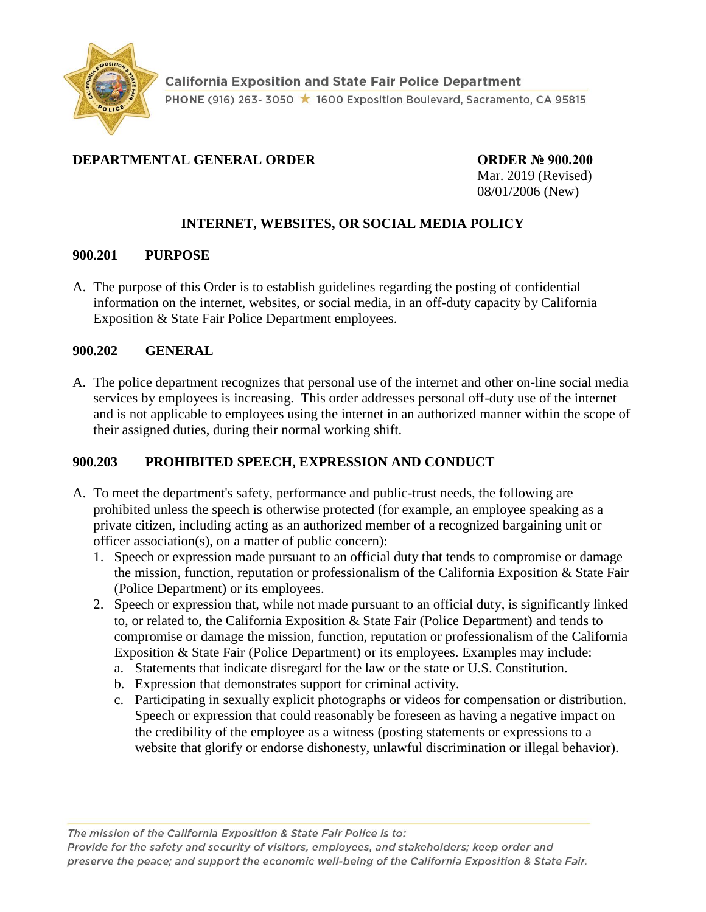

# **DEPARTMENTAL GENERAL ORDER CORDER ORDER № 900.200**

Mar. 2019 (Revised) 08/01/2006 (New)

# **INTERNET, WEBSITES, OR SOCIAL MEDIA POLICY**

#### **900.201 PURPOSE**

A. The purpose of this Order is to establish guidelines regarding the posting of confidential information on the internet, websites, or social media, in an off-duty capacity by California Exposition & State Fair Police Department employees.

#### **900.202 GENERAL**

A. The police department recognizes that personal use of the internet and other on-line social media services by employees is increasing. This order addresses personal off-duty use of the internet and is not applicable to employees using the internet in an authorized manner within the scope of their assigned duties, during their normal working shift.

### **900.203 PROHIBITED SPEECH, EXPRESSION AND CONDUCT**

- A. To meet the department's safety, performance and public-trust needs, the following are prohibited unless the speech is otherwise protected (for example, an employee speaking as a private citizen, including acting as an authorized member of a recognized bargaining unit or officer association(s), on a matter of public concern):
	- 1. Speech or expression made pursuant to an official duty that tends to compromise or damage the mission, function, reputation or professionalism of the California Exposition & State Fair (Police Department) or its employees.
	- 2. Speech or expression that, while not made pursuant to an official duty, is significantly linked to, or related to, the California Exposition & State Fair (Police Department) and tends to compromise or damage the mission, function, reputation or professionalism of the California Exposition & State Fair (Police Department) or its employees. Examples may include:
		- a. Statements that indicate disregard for the law or the state or U.S. Constitution.
		- b. Expression that demonstrates support for criminal activity.
		- c. Participating in sexually explicit photographs or videos for compensation or distribution. Speech or expression that could reasonably be foreseen as having a negative impact on the credibility of the employee as a witness (posting statements or expressions to a website that glorify or endorse dishonesty, unlawful discrimination or illegal behavior).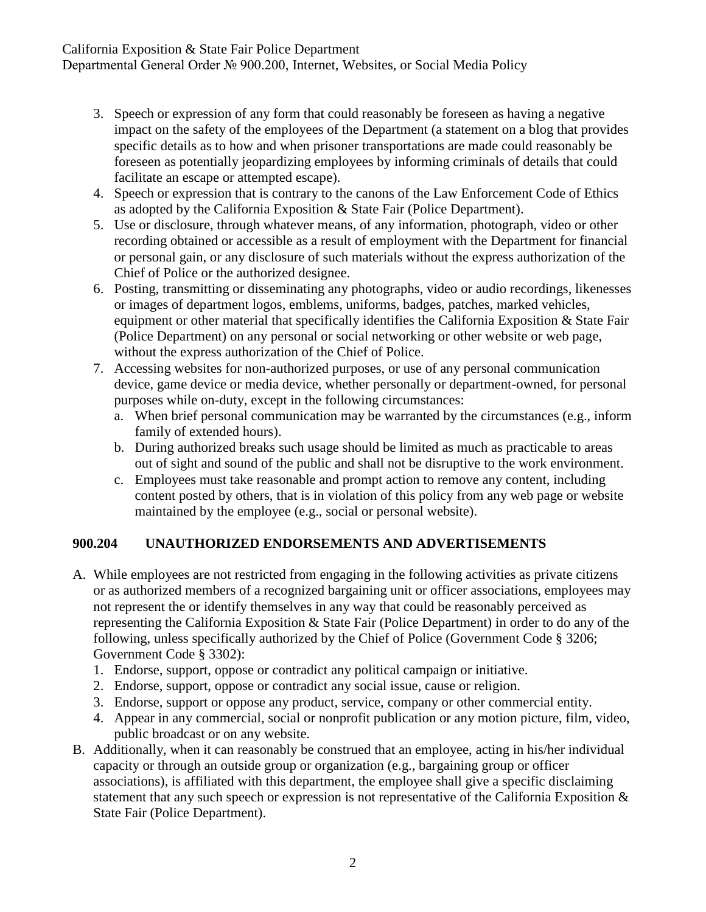California Exposition & State Fair Police Department

Departmental General Order № 900.200, Internet, Websites, or Social Media Policy

- 3. Speech or expression of any form that could reasonably be foreseen as having a negative impact on the safety of the employees of the Department (a statement on a blog that provides specific details as to how and when prisoner transportations are made could reasonably be foreseen as potentially jeopardizing employees by informing criminals of details that could facilitate an escape or attempted escape).
- 4. Speech or expression that is contrary to the canons of the Law Enforcement Code of Ethics as adopted by the California Exposition & State Fair (Police Department).
- 5. Use or disclosure, through whatever means, of any information, photograph, video or other recording obtained or accessible as a result of employment with the Department for financial or personal gain, or any disclosure of such materials without the express authorization of the Chief of Police or the authorized designee.
- 6. Posting, transmitting or disseminating any photographs, video or audio recordings, likenesses or images of department logos, emblems, uniforms, badges, patches, marked vehicles, equipment or other material that specifically identifies the California Exposition & State Fair (Police Department) on any personal or social networking or other website or web page, without the express authorization of the Chief of Police.
- 7. Accessing websites for non-authorized purposes, or use of any personal communication device, game device or media device, whether personally or department-owned, for personal purposes while on-duty, except in the following circumstances:
	- a. When brief personal communication may be warranted by the circumstances (e.g., inform family of extended hours).
	- b. During authorized breaks such usage should be limited as much as practicable to areas out of sight and sound of the public and shall not be disruptive to the work environment.
	- c. Employees must take reasonable and prompt action to remove any content, including content posted by others, that is in violation of this policy from any web page or website maintained by the employee (e.g., social or personal website).

### **900.204 UNAUTHORIZED ENDORSEMENTS AND ADVERTISEMENTS**

- A. While employees are not restricted from engaging in the following activities as private citizens or as authorized members of a recognized bargaining unit or officer associations, employees may not represent the or identify themselves in any way that could be reasonably perceived as representing the California Exposition & State Fair (Police Department) in order to do any of the following, unless specifically authorized by the Chief of Police (Government Code § 3206; Government Code § 3302):
	- 1. Endorse, support, oppose or contradict any political campaign or initiative.
	- 2. Endorse, support, oppose or contradict any social issue, cause or religion.
	- 3. Endorse, support or oppose any product, service, company or other commercial entity.
	- 4. Appear in any commercial, social or nonprofit publication or any motion picture, film, video, public broadcast or on any website.
- B. Additionally, when it can reasonably be construed that an employee, acting in his/her individual capacity or through an outside group or organization (e.g., bargaining group or officer associations), is affiliated with this department, the employee shall give a specific disclaiming statement that any such speech or expression is not representative of the California Exposition & State Fair (Police Department).